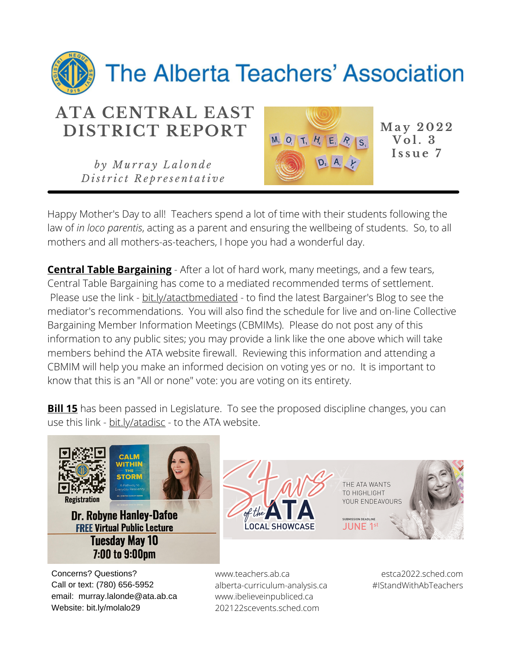

*b y Mu r r a y L a l o n d e D ist r i c t R e p r e s e n t a ti v e*



 $\overline{Vol}$  **. 3 I s s u e 7**

Happy Mother's Day to all! Teachers spend a lot of time with their students following the law of *in loco parentis*, acting as a parent and ensuring the wellbeing of students. So, to all mothers and all mothers-as-teachers, I hope you had a wonderful day.

**Central Table Bargaining** - After a lot of hard work, many meetings, and a few tears, Central Table Bargaining has come to a mediated recommended terms of settlement. Please use the link - bit.ly/atactbmediated - to find the latest Bargainer's Blog to see the mediator's recommendations. You will also find the schedule for live and on-line Collective Bargaining Member Information Meetings (CBMIMs). Please do not post any of this information to any public sites; you may provide a link like the one above which will take members behind the ATA website firewall. Reviewing this information and attending a CBMIM will help you make an informed decision on voting yes or no. It is important to know that this is an "All or none" vote: you are voting on its entirety.

**Bill 15** has been passed in Legislature. To see the proposed discipline changes, you can use this link - bit.ly/atadisc - to the ATA website.





**Dr. Robyne Hanley-Dafoe FREE Virtual Public Lecture Tuesday May 10** 7:00 to 9:00pm

Concerns? Questions? Call or text: (780) 656-5952 email: murray.lalonde@ata.ab.ca Website: bit.ly/molalo29



www.teachers.ab.ca alberta-curriculum-analysis.ca www.ibelieveinpubliced.ca 202122scevents.sched.com

estca2022.sched.com #IStandWithAbTeachers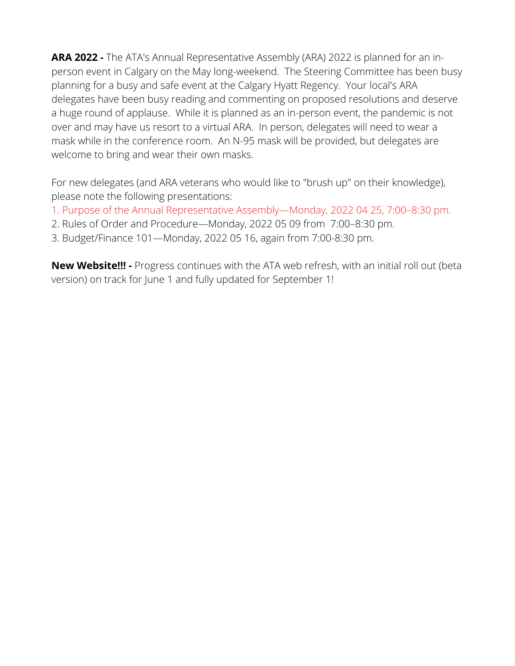**ARA 2022 -** The ATA's Annual Representative Assembly (ARA) 2022 is planned for an inperson event in Calgary on the May long-weekend. The Steering Committee has been busy planning for a busy and safe event at the Calgary Hyatt Regency. Your local's ARA delegates have been busy reading and commenting on proposed resolutions and deserve a huge round of applause. While it is planned as an in-person event, the pandemic is not over and may have us resort to a virtual ARA. In person, delegates will need to wear a mask while in the conference room. An N-95 mask will be provided, but delegates are welcome to bring and wear their own masks.

For new delegates (and ARA veterans who would like to "brush up" on their knowledge), please note the following presentations:

- 1. Purpose of the Annual Representative Assembly—Monday, 2022 04 25, 7:00–8:30 pm.
- 2. Rules of Order and Procedure—Monday, 2022 05 09 from 7:00–8:30 pm.
- 3. Budget/Finance 101—Monday, 2022 05 16, again from 7:00-8:30 pm.

**New Website!!! -** Progress continues with the ATA web refresh, with an initial roll out (beta version) on track for June 1 and fully updated for September 1!